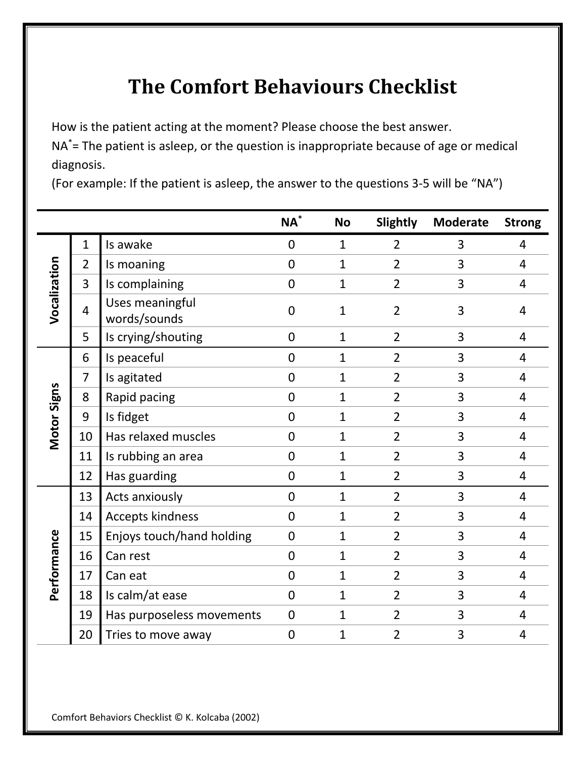## **The Comfort Behaviours Checklist**

How is the patient acting at the moment? Please choose the best answer.

NA\*= The patient is asleep, or the question is inappropriate because of age or medical diagnosis.

(For example: If the patient is asleep, the answer to the questions 3-5 will be "NA")

|              |                |                                 | $\mathsf{NA}^*$ | <b>No</b>      | Slightly       | <b>Moderate</b> | <b>Strong</b>  |
|--------------|----------------|---------------------------------|-----------------|----------------|----------------|-----------------|----------------|
| Vocalization | $\mathbf{1}$   | Is awake                        | $\mathbf 0$     | $\mathbf{1}$   | $\overline{2}$ | 3               | 4              |
|              | $\overline{2}$ | Is moaning                      | $\overline{0}$  | 1              | $\overline{2}$ | 3               | 4              |
|              | 3              | Is complaining                  | $\mathbf 0$     | $\mathbf{1}$   | $\overline{2}$ | 3               | $\overline{4}$ |
|              | 4              | Uses meaningful<br>words/sounds | 0               | 1              | $\overline{2}$ | 3               | 4              |
|              | 5              | Is crying/shouting              | 0               | $\mathbf{1}$   | $\overline{2}$ | 3               | 4              |
| Motor Signs  | 6              | Is peaceful                     | $\overline{0}$  | $\mathbf{1}$   | $\overline{2}$ | 3               | 4              |
|              | $\overline{7}$ | Is agitated                     | $\overline{0}$  | $\mathbf{1}$   | $\overline{2}$ | 3               | 4              |
|              | 8              | Rapid pacing                    | $\overline{0}$  | $\mathbf{1}$   | $\overline{2}$ | 3               | 4              |
|              | 9              | Is fidget                       | $\overline{0}$  | 1              | $\overline{2}$ | 3               | 4              |
|              | 10             | Has relaxed muscles             | $\overline{0}$  | 1              | $\overline{2}$ | 3               | 4              |
|              | 11             | Is rubbing an area              | $\overline{0}$  | $\mathbf{1}$   | $\overline{2}$ | 3               | 4              |
|              | 12             | Has guarding                    | 0               | $\mathbf{1}$   | $\overline{2}$ | 3               | 4              |
| Performance  | 13             | Acts anxiously                  | 0               | $\mathbf{1}$   | $\overline{2}$ | 3               | 4              |
|              | 14             | <b>Accepts kindness</b>         | $\overline{0}$  | $\mathbf{1}$   | $\overline{2}$ | 3               | 4              |
|              | 15             | Enjoys touch/hand holding       | $\overline{0}$  | 1              | $\overline{2}$ | 3               | 4              |
|              | 16             | Can rest                        | $\overline{0}$  | $\mathbf{1}$   | $\overline{2}$ | 3               | 4              |
|              | 17             | Can eat                         | $\overline{0}$  | $\mathbf{1}$   | $\overline{2}$ | 3               | 4              |
|              | 18             | Is calm/at ease                 | $\mathbf 0$     | $\mathbf{1}$   | $\overline{2}$ | 3               | 4              |
|              | 19             | Has purposeless movements       | $\mathbf 0$     | $\mathbf{1}$   | 2              | 3               | 4              |
|              | 20             | Tries to move away              | $\overline{0}$  | $\overline{1}$ | 2              | 3               | 4              |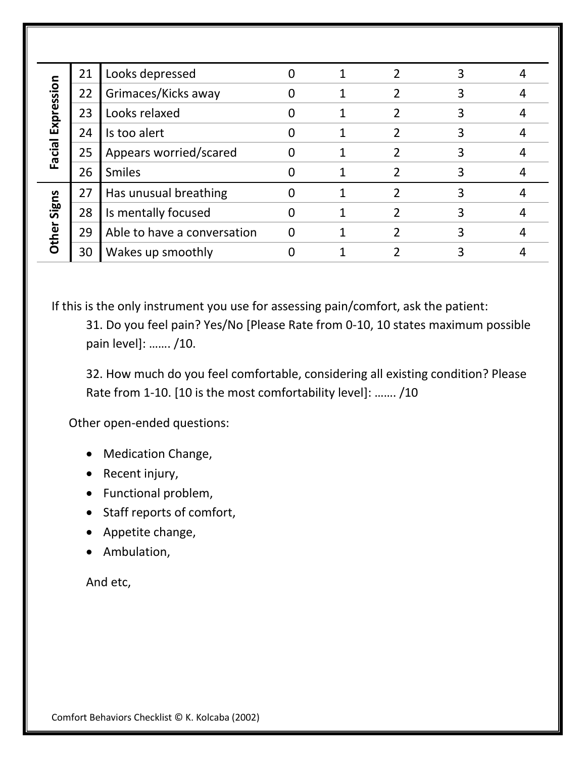| Expression<br><b>Facial</b> | 21 | Looks depressed             |  |   | 3 |  |
|-----------------------------|----|-----------------------------|--|---|---|--|
|                             | 22 | Grimaces/Kicks away         |  | າ | 3 |  |
|                             | 23 | Looks relaxed               |  |   | 3 |  |
|                             | 24 | Is too alert                |  | 2 | 3 |  |
|                             | 25 | Appears worried/scared      |  |   | 3 |  |
|                             | 26 | <b>Smiles</b>               |  |   |   |  |
| Signs<br>Other              | 27 | Has unusual breathing       |  |   | 3 |  |
|                             | 28 | Is mentally focused         |  |   | 3 |  |
|                             | 29 | Able to have a conversation |  |   | 3 |  |
|                             | 30 | Wakes up smoothly           |  |   | 3 |  |

If this is the only instrument you use for assessing pain/comfort, ask the patient:

31. Do you feel pain? Yes/No [Please Rate from 0-10, 10 states maximum possible pain level]: ……. /10.

32. How much do you feel comfortable, considering all existing condition? Please Rate from 1-10. [10 is the most comfortability level]: ……. /10

Other open-ended questions:

- Medication Change,
- Recent injury,
- Functional problem,
- Staff reports of comfort,
- Appetite change,
- Ambulation,

## And etc,

Comfort Behaviors Checklist © K. Kolcaba (2002)